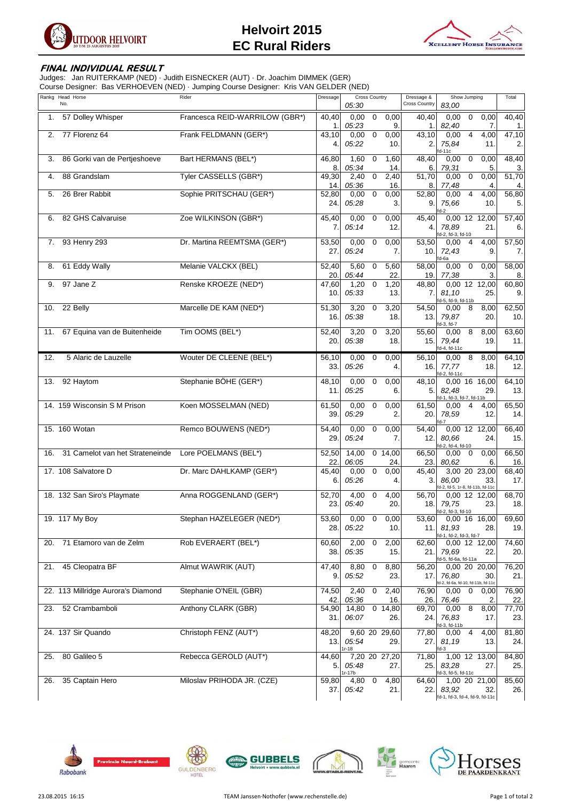

## **Helvoirt 2015 EC Rural Riders**



## **FINAL INDIVIDUAL RESULT**

Judges: Jan RUITERKAMP (NED) · Judith EISNECKER (AUT) · Dr. Joachim DIMMEK (GER) Course Designer: Bas VERHOEVEN (NED) · Jumping Course Designer: Kris VAN GELDER (NED)

| Rankg Head Horse<br>No.                | Rider                          | Dressage          | <b>Cross Country</b><br>05:30                                 | Dressage &<br><b>Cross Country</b> | Show Jumping<br>83,00                                                      | Total             |
|----------------------------------------|--------------------------------|-------------------|---------------------------------------------------------------|------------------------------------|----------------------------------------------------------------------------|-------------------|
| 57 Dolley Whisper<br>1.                | Francesca REID-WARRILOW (GBR*) | 40,40             | 0,00<br>$\mathbf 0$<br>0,00                                   | 40,40                              | 0,00<br>$\mathbf 0$<br>0,00                                                | 40,40             |
| 77 Florenz 64<br>2.                    | Frank FELDMANN (GER*)          | 1.<br>43,10<br>4. | 05:23<br>9.<br>$\overline{0}$<br>0,00<br>0,00<br>05:22<br>10. | 1.<br>43,10<br>2.                  | 82,40<br>7.<br>0,00<br>$\overline{4}$<br>4,00<br>75,84<br>11.              | 1.<br>47,10<br>2. |
| 86 Gorki van de Pertjeshoeve<br>3.     | Bart HERMANS (BEL*)            | 46,80<br>8.       | 1,60<br>$\mathbf 0$<br>1,60<br>05:34<br>14.                   | 48,40                              | d-11c<br>$\mathbf 0$<br>0,00<br>0,00<br>79,31<br>5.                        | 48,40             |
| 88 Grandslam<br>4.                     | Tyler CASSELLS (GBR*)          | 49,30<br>14.      | 2,40<br>$\mathbf 0$<br>2,40<br>05:36<br>16.                   | 6.<br>51,70<br>8.                  | 0,00<br>0,00<br>0<br>77,48<br>4.                                           | 3.<br>51,70<br>4. |
| 26 Brer Rabbit<br>5.                   | Sophie PRITSCHAU (GER*)        | 52,80<br>24.      | 0,00<br>$\overline{0}$<br>0,00<br>05:28<br>3.                 | 52,80<br>9.                        | 0,00<br>$\overline{4}$<br>4,00<br>75,66<br>10.<br>d-2                      | 56,80<br>5.       |
| 82 GHS Calvaruise<br>6.                | Zoe WILKINSON (GBR*)           | 45,40<br>7.       | 0,00<br>$\mathbf 0$<br>0,00<br>05:14<br>12.                   | 45,40<br>4.                        | 0,00 12 12,00<br>78,89<br>21.<br>d-2, fd-3, fd-10                          | 57,40<br>6.       |
| 93 Henry 293<br>7.                     | Dr. Martina REEMTSMA (GER*)    | 53,50<br>27.      | 0,00<br>$\mathbf 0$<br>0,00<br>05:24<br>7.                    | 53,50<br>10.                       | 0,00<br>$\overline{4}$<br>4,00<br>72,43<br>9.<br>d-6a                      | 57,50<br>7.       |
| 61 Eddy Wally<br>8.                    | Melanie VALCKX (BEL)           | 52,40<br>20.      | 5,60<br>5,60<br>$\mathbf 0$<br>05:44<br>22.                   | 58,00<br>19.                       | 0,00<br>$\mathbf 0$<br>0,00<br>77,38<br>3.                                 | 58,00<br>8.       |
| 97 Jane Z<br>9.                        | Renske KROEZE (NED*)           | 47,60<br>10.      | 1,20<br>$\mathbf 0$<br>1,20<br>05:33<br>13.                   | 48,80<br>7.                        | 0,00 12 12,00<br>81,10<br>25.<br>d-5, fd-9, fd-11b                         | 60,80<br>9.       |
| 22 Belly<br>10.                        | Marcelle DE KAM (NED*)         | 51,30<br>16.      | 3,20<br>$\mathbf 0$<br>3,20<br>05:38<br>18.                   | 54,50<br>13.                       | 8<br>8,00<br>0,00<br>20.<br>79,87                                          | 62,50<br>10.      |
| 67 Equina van de Buitenheide<br>11.    | Tim OOMS (BEL*)                | 52,40<br>20.      | 3,20<br>$\mathbf 0$<br>3,20<br>05:38<br>18.                   | 55,60<br>15.                       | d-3, fd-7<br>8<br>8,00<br>0,00<br>79,44<br>19.<br>d-4, fd-11c              | 63,60<br>11.      |
| 5 Alaric de Lauzelle<br>12.            | Wouter DE CLEENE (BEL*)        | 56,10<br>33.      | 0,00<br>$\mathbf 0$<br>0,00<br>05:26<br>4.                    | 56,10<br>16.                       | 8<br>8,00<br>0,00<br>77,77<br>18.<br>fd-2, fd-11c                          | 64,10<br>12.      |
| 92 Haytom<br>13.                       | Stephanie BÖHE (GER*)          | 48,10<br>11.      | 0,00<br>$\mathbf 0$<br>0,00<br>05:25<br>6.                    | 48,10<br>5.                        | 0,00 16 16,00<br>82,48<br>29.                                              | 64,10<br>13.      |
| 14. 159 Wisconsin S M Prison           | Koen MOSSELMAN (NED)           | 61,50<br>39.      | 0,00<br>$\mathbf 0$<br>0,00<br>05:29<br>2.                    | 61,50<br>20.                       | id-1, fd-3, fd-7, fd-11b<br>$\overline{4}$<br>4,00<br>0,00<br>78,59<br>12. | 65,50<br>14.      |
| 15. 160 Wotan                          | Remco BOUWENS (NED*)           | 54,40<br>29.      | 0,00<br>$\mathbf 0$<br>0,00<br>05:24<br>7.                    | 54,40<br>12.                       | 0,00 12 12,00<br>80.66<br>24.<br>d-2, fd-4, fd-10                          | 66,40<br>15.      |
| 31 Camelot van het Strateneinde<br>16. | Lore POELMANS (BEL*)           | 52,50<br>22.      | 14,00<br>0, 14, 00<br>06:05<br>24.                            | 66,50<br>23.                       | 0,00<br>$\mathbf 0$<br>0,00<br>80,62<br>6.                                 | 66,50<br>16       |
| 17. 108 Salvatore D                    | Dr. Marc DAHLKAMP (GER*)       | 45,40<br>6.       | $\overline{0}$<br>0,00<br>0,00<br>05:26<br>4.                 | 45,40<br>3.                        | 3,00 20 23,00<br>86.00<br>33.<br>d-2, fd-5, 1r-8, fd-11b, fd-11c           | 68,40<br>17.      |
| 18. 132 San Siro's Playmate            | Anna ROGGENLAND (GER*)         | 52,70<br>23.      | 4,00<br>$\mathbf 0$<br>4,00<br>05:40<br>20.                   | 56,70<br>18.1                      | 0,00 12 12,00<br>79,75<br>23.<br>fd-2, fd-3, fd-10                         | 68,70<br>18.      |
| 19. 117 My Boy                         | Stephan HAZELEGER (NED*)       | 53,60<br>28.      | $0,00$ 0<br>0,00<br>05:22<br>10.                              | 53,60<br>11.1                      | $0,00$ 16 16,00<br>81,93<br>28.<br>fd-1, fd-2, fd-3, fd-7                  | 69,60<br>19.      |
| 71 Etamoro van de Zelm<br>20.          | Rob EVERAERT (BEL*)            | 60,60<br>38.      | 2,00<br>$\overline{0}$<br>2,00<br>05:35<br>15.                | 62,60<br>21.                       | 0,00 12 12,00<br>79,69<br>22.<br>d-5, fd-6a, fd-11a                        | 74,60<br>20.      |
| 45 Cleopatra BF<br>21.                 | Almut WAWRIK (AUT)             | 47,40<br>9.       | 8,80<br>$\overline{0}$<br>8,80<br>05:52<br>23.                | 56,20<br>17.                       | 0,00 20 20,00<br>76,80<br>30.<br>d-2, fd-6a, fd-10, fd-11b, fd-11c         | 76,20<br>21.      |
| 22. 113 Millridge Aurora's Diamond     | Stephanie O'NEIL (GBR)         | 74,50<br>42.      | $\overline{0}$<br>2,40<br>2,40<br>05:36<br>16.                | 76,90<br>26.                       | 0,00<br>$\mathbf 0$<br>0,00<br>76,46<br>2.                                 | 76,90<br>22.      |
| 52 Crambamboli<br>23.                  | Anthony CLARK (GBR)            | 54,90<br>31.      | 14,80<br>0, 14, 80<br>06:07<br>26.                            | 69,70<br>24.                       | 0,00<br>8<br>8,00<br>76,83<br>17.<br>d-3, fd-11b                           | 77,70<br>23.      |
| 24. 137 Sir Quando                     | Christoph FENZ (AUT*)          | 48,20<br>13.      | 9,60 20 29,60<br>05:54<br>29.<br>$1r-18$                      | 77,80<br>27.                       | $0,00$ 4<br>4,00<br>81,19<br>13.<br>d-3                                    | 81,80<br>24.      |
| 80 Galileo 5<br>25.                    | Rebecca GEROLD (AUT*)          | 44,60<br>5.       | 7,20 20 27,20<br>05:48<br>27.<br>$1r-17b$                     | 71,80<br>25.                       | 1,00 12 13,00<br>83,28<br>27.<br>d-3, fd-5, fd-11c                         | 84,80<br>25.      |
| 35 Captain Hero<br>26.                 | Miloslav PRIHODA JR. (CZE)     | 59,80<br>37.I     | 4,80 0<br>4,80<br>05:42<br>21.                                | 64,60<br>22.I                      | 1,00 20 21,00<br>83,92<br>32.<br>fd-1, fd-3, fd-4, fd-9, fd-11c            | 85,60<br>26.      |







 $\int$